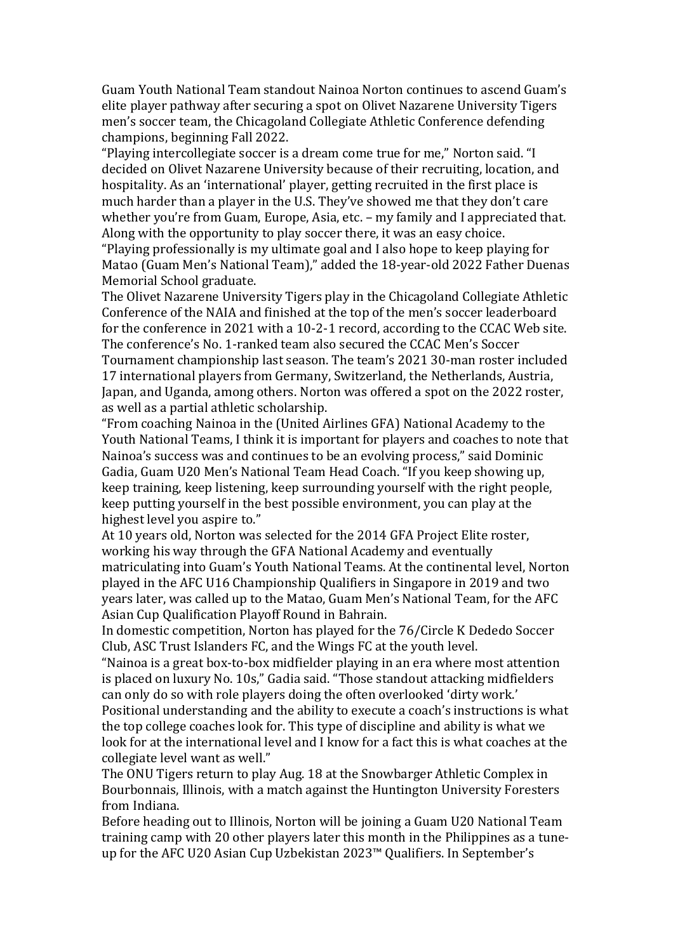Guam Youth National Team standout Nainoa Norton continues to ascend Guam's elite player pathway after securing a spot on Olivet Nazarene University Tigers men's soccer team, the Chicagoland Collegiate Athletic Conference defending champions, beginning Fall 2022.

"Playing intercollegiate soccer is a dream come true for me," Norton said. "I decided on Olivet Nazarene University because of their recruiting, location, and hospitality. As an 'international' player, getting recruited in the first place is much harder than a player in the U.S. They've showed me that they don't care whether you're from Guam, Europe, Asia, etc. – my family and I appreciated that. Along with the opportunity to play soccer there, it was an easy choice.

"Playing professionally is my ultimate goal and I also hope to keep playing for Matao (Guam Men's National Team)," added the 18-year-old 2022 Father Duenas Memorial School graduate.

The Olivet Nazarene University Tigers play in the Chicagoland Collegiate Athletic Conference of the NAIA and finished at the top of the men's soccer leaderboard for the conference in 2021 with a 10-2-1 record, according to the CCAC Web site. The conference's No. 1-ranked team also secured the CCAC Men's Soccer Tournament championship last season. The team's 2021 30-man roster included 17 international players from Germany, Switzerland, the Netherlands, Austria, Japan, and Uganda, among others. Norton was offered a spot on the 2022 roster, as well as a partial athletic scholarship.

"From coaching Nainoa in the (United Airlines GFA) National Academy to the Youth National Teams, I think it is important for players and coaches to note that Nainoa's success was and continues to be an evolving process," said Dominic Gadia, Guam U20 Men's National Team Head Coach. "If you keep showing up, keep training, keep listening, keep surrounding yourself with the right people, keep putting yourself in the best possible environment, you can play at the highest level you aspire to."

At 10 years old, Norton was selected for the 2014 GFA Project Elite roster, working his way through the GFA National Academy and eventually matriculating into Guam's Youth National Teams. At the continental level, Norton played in the AFC U16 Championship Qualifiers in Singapore in 2019 and two years later, was called up to the Matao, Guam Men's National Team, for the AFC Asian Cup Qualification Playoff Round in Bahrain.

In domestic competition, Norton has played for the 76/Circle K Dededo Soccer Club, ASC Trust Islanders FC, and the Wings FC at the youth level.

"Nainoa is a great box-to-box midfielder playing in an era where most attention is placed on luxury No. 10s," Gadia said. "Those standout attacking midfielders can only do so with role players doing the often overlooked 'dirty work.'

Positional understanding and the ability to execute a coach's instructions is what the top college coaches look for. This type of discipline and ability is what we look for at the international level and I know for a fact this is what coaches at the collegiate level want as well."

The ONU Tigers return to play Aug. 18 at the Snowbarger Athletic Complex in Bourbonnais, Illinois, with a match against the Huntington University Foresters from Indiana.

Before heading out to Illinois, Norton will be joining a Guam U20 National Team training camp with 20 other players later this month in the Philippines as a tuneup for the AFC U20 Asian Cup Uzbekistan 2023™ Qualifiers. In September's